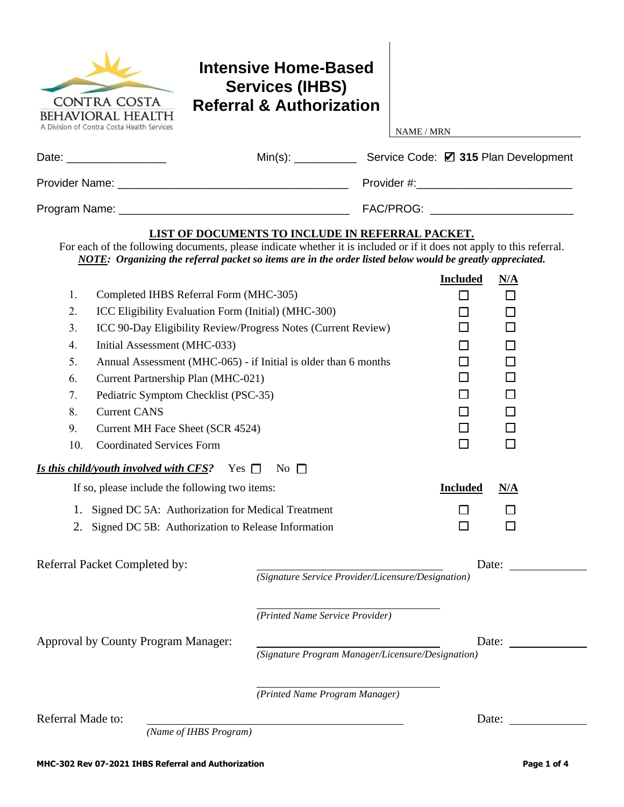| <b>CONTRA COSTA</b><br><b>BEHAVIORAL HEALTH</b><br>A Division of Contra Costa Health Services                         | <b>Intensive Home-Based</b><br><b>Services (IHBS)</b><br><b>Referral &amp; Authorization</b>                                                                         | <b>NAME / MRN</b> |                 |        |
|-----------------------------------------------------------------------------------------------------------------------|----------------------------------------------------------------------------------------------------------------------------------------------------------------------|-------------------|-----------------|--------|
| Date: ___________________                                                                                             |                                                                                                                                                                      |                   |                 |        |
|                                                                                                                       |                                                                                                                                                                      |                   |                 |        |
|                                                                                                                       |                                                                                                                                                                      |                   |                 |        |
| For each of the following documents, please indicate whether it is included or if it does not apply to this referral. | <b>LIST OF DOCUMENTS TO INCLUDE IN REFERRAL PACKET.</b><br>NOTE: Organizing the referral packet so items are in the order listed below would be greatly appreciated. |                   |                 |        |
|                                                                                                                       |                                                                                                                                                                      |                   | <b>Included</b> | N/A    |
| Completed IHBS Referral Form (MHC-305)<br>1.                                                                          |                                                                                                                                                                      |                   | □               | $\Box$ |
| 2.                                                                                                                    | ICC Eligibility Evaluation Form (Initial) (MHC-300)                                                                                                                  |                   |                 | П      |
| 3.<br>ICC 90-Day Eligibility Review/Progress Notes (Current Review)                                                   |                                                                                                                                                                      |                   |                 |        |
| 4.<br>Initial Assessment (MHC-033)                                                                                    |                                                                                                                                                                      |                   |                 |        |
| 5.                                                                                                                    | Annual Assessment (MHC-065) - if Initial is older than 6 months                                                                                                      |                   | ΙI              | П      |
| 6.<br>Current Partnership Plan (MHC-021)                                                                              |                                                                                                                                                                      |                   | ΙI              | П      |
| 7.<br>Pediatric Symptom Checklist (PSC-35)                                                                            |                                                                                                                                                                      |                   |                 |        |
| 8.<br><b>Current CANS</b>                                                                                             |                                                                                                                                                                      | $\mathsf{L}$      | $\Box$          |        |
| 9.<br>Current MH Face Sheet (SCR 4524)                                                                                |                                                                                                                                                                      | ⊔                 | $\Box$          |        |
| 10.<br><b>Coordinated Services Form</b>                                                                               |                                                                                                                                                                      |                   | П               | $\Box$ |
| <i>Is this child/youth involved with CFS?</i> Yes $\Box$                                                              | No $\Box$                                                                                                                                                            |                   |                 |        |
| If so, please include the following two items:                                                                        |                                                                                                                                                                      | <b>Included</b>   | N/A             |        |
| Signed DC 5A: Authorization for Medical Treatment                                                                     |                                                                                                                                                                      |                   |                 |        |
| 2.                                                                                                                    | Signed DC 5B: Authorization to Release Information                                                                                                                   |                   |                 |        |
| Referral Packet Completed by:                                                                                         | (Signature Service Provider/Licensure/Designation)                                                                                                                   |                   |                 | Date:  |
|                                                                                                                       |                                                                                                                                                                      |                   |                 |        |
|                                                                                                                       | (Printed Name Service Provider)                                                                                                                                      |                   |                 |        |
| Approval by County Program Manager:                                                                                   |                                                                                                                                                                      |                   |                 | Date:  |
|                                                                                                                       | (Signature Program Manager/Licensure/Designation)                                                                                                                    |                   |                 |        |
|                                                                                                                       | (Printed Name Program Manager)                                                                                                                                       |                   |                 |        |
| Referral Made to:                                                                                                     |                                                                                                                                                                      |                   | Date:           |        |

*(Name of IHBS Program)*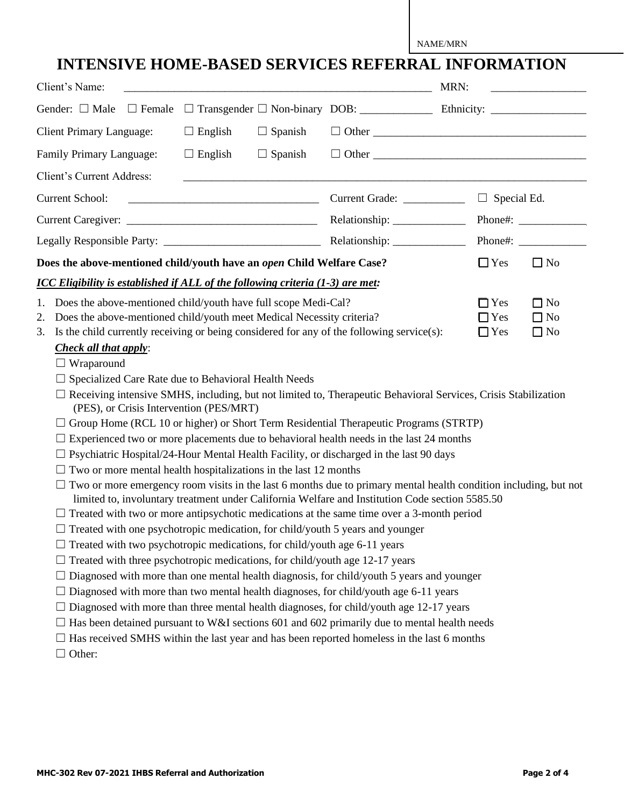NAME/MRN

## **INTENSIVE HOME-BASED SERVICES REFERRAL INFORMATION**

| Client's Name:                                                                                                                                                                                                                                                                                                                                                                                                                                                                                                                                                                                                                                                                                                                                                                                                                                                                                                                                                                                                                                                                                                                                                                                                                                                                                                                                                                                                                                                                                                                                                                                                                                                                                                                                                                                                                                                                                                                                                                               |                                       | MRN:                                                                          |
|----------------------------------------------------------------------------------------------------------------------------------------------------------------------------------------------------------------------------------------------------------------------------------------------------------------------------------------------------------------------------------------------------------------------------------------------------------------------------------------------------------------------------------------------------------------------------------------------------------------------------------------------------------------------------------------------------------------------------------------------------------------------------------------------------------------------------------------------------------------------------------------------------------------------------------------------------------------------------------------------------------------------------------------------------------------------------------------------------------------------------------------------------------------------------------------------------------------------------------------------------------------------------------------------------------------------------------------------------------------------------------------------------------------------------------------------------------------------------------------------------------------------------------------------------------------------------------------------------------------------------------------------------------------------------------------------------------------------------------------------------------------------------------------------------------------------------------------------------------------------------------------------------------------------------------------------------------------------------------------------|---------------------------------------|-------------------------------------------------------------------------------|
| Gender: $\Box$ Male<br>$\Box$ Female                                                                                                                                                                                                                                                                                                                                                                                                                                                                                                                                                                                                                                                                                                                                                                                                                                                                                                                                                                                                                                                                                                                                                                                                                                                                                                                                                                                                                                                                                                                                                                                                                                                                                                                                                                                                                                                                                                                                                         |                                       |                                                                               |
| $\Box$ Spanish<br><b>Client Primary Language:</b><br>$\Box$ English                                                                                                                                                                                                                                                                                                                                                                                                                                                                                                                                                                                                                                                                                                                                                                                                                                                                                                                                                                                                                                                                                                                                                                                                                                                                                                                                                                                                                                                                                                                                                                                                                                                                                                                                                                                                                                                                                                                          |                                       |                                                                               |
| $\Box$ English<br>$\Box$ Spanish<br>Family Primary Language:                                                                                                                                                                                                                                                                                                                                                                                                                                                                                                                                                                                                                                                                                                                                                                                                                                                                                                                                                                                                                                                                                                                                                                                                                                                                                                                                                                                                                                                                                                                                                                                                                                                                                                                                                                                                                                                                                                                                 |                                       | $\Box$ Other                                                                  |
| Client's Current Address:                                                                                                                                                                                                                                                                                                                                                                                                                                                                                                                                                                                                                                                                                                                                                                                                                                                                                                                                                                                                                                                                                                                                                                                                                                                                                                                                                                                                                                                                                                                                                                                                                                                                                                                                                                                                                                                                                                                                                                    |                                       |                                                                               |
| <b>Current School:</b><br><u> 1989 - Johann Barn, mars ar breithinn ar chomhair an t-Alban ann an t-Alban ann an t-Alban ann an t-Alban ann </u>                                                                                                                                                                                                                                                                                                                                                                                                                                                                                                                                                                                                                                                                                                                                                                                                                                                                                                                                                                                                                                                                                                                                                                                                                                                                                                                                                                                                                                                                                                                                                                                                                                                                                                                                                                                                                                             | Current Grade: <u>_______________</u> | $\Box$ Special Ed.                                                            |
|                                                                                                                                                                                                                                                                                                                                                                                                                                                                                                                                                                                                                                                                                                                                                                                                                                                                                                                                                                                                                                                                                                                                                                                                                                                                                                                                                                                                                                                                                                                                                                                                                                                                                                                                                                                                                                                                                                                                                                                              | Relationship: ______________          | Phone#:                                                                       |
|                                                                                                                                                                                                                                                                                                                                                                                                                                                                                                                                                                                                                                                                                                                                                                                                                                                                                                                                                                                                                                                                                                                                                                                                                                                                                                                                                                                                                                                                                                                                                                                                                                                                                                                                                                                                                                                                                                                                                                                              |                                       |                                                                               |
| Does the above-mentioned child/youth have an open Child Welfare Case?                                                                                                                                                                                                                                                                                                                                                                                                                                                                                                                                                                                                                                                                                                                                                                                                                                                                                                                                                                                                                                                                                                                                                                                                                                                                                                                                                                                                                                                                                                                                                                                                                                                                                                                                                                                                                                                                                                                        |                                       | $\Box$ Yes<br>$\Box$ No                                                       |
| <b>ICC Eligibility is established if ALL of the following criteria (1-3) are met:</b>                                                                                                                                                                                                                                                                                                                                                                                                                                                                                                                                                                                                                                                                                                                                                                                                                                                                                                                                                                                                                                                                                                                                                                                                                                                                                                                                                                                                                                                                                                                                                                                                                                                                                                                                                                                                                                                                                                        |                                       |                                                                               |
| 1. Does the above-mentioned child/youth have full scope Medi-Cal?<br>Does the above-mentioned child/youth meet Medical Necessity criteria?<br>2.<br>3. Is the child currently receiving or being considered for any of the following service(s):<br><b>Check all that apply:</b><br>$\Box$ Wraparound<br>Specialized Care Rate due to Behavioral Health Needs<br>$\Box$ Receiving intensive SMHS, including, but not limited to, Therapeutic Behavioral Services, Crisis Stabilization<br>(PES), or Crisis Intervention (PES/MRT)<br>$\Box$ Group Home (RCL 10 or higher) or Short Term Residential Therapeutic Programs (STRTP)<br>Experienced two or more placements due to behavioral health needs in the last 24 months<br>Psychiatric Hospital/24-Hour Mental Health Facility, or discharged in the last 90 days<br>Two or more mental health hospitalizations in the last 12 months<br>Two or more emergency room visits in the last 6 months due to primary mental health condition including, but not<br>limited to, involuntary treatment under California Welfare and Institution Code section 5585.50<br>$\Box$ Treated with two or more antipsychotic medications at the same time over a 3-month period<br>$\Box$ Treated with one psychotropic medication, for child/youth 5 years and younger<br>$\Box$ Treated with two psychotropic medications, for child/youth age 6-11 years<br>$\Box$ Treated with three psychotropic medications, for child/youth age 12-17 years<br>$\Box$ Diagnosed with more than one mental health diagnosis, for child/youth 5 years and younger<br>Diagnosed with more than two mental health diagnoses, for child/youth age 6-11 years<br>Diagnosed with more than three mental health diagnoses, for child/youth age 12-17 years<br>Has been detained pursuant to W&I sections 601 and 602 primarily due to mental health needs<br>Has received SMHS within the last year and has been reported homeless in the last 6 months<br>$\Box$ Other: |                                       | $\Box$ Yes<br>$\Box$ No<br>$\Box$ Yes<br>$\Box$ No<br>$\Box$ Yes<br>$\Box$ No |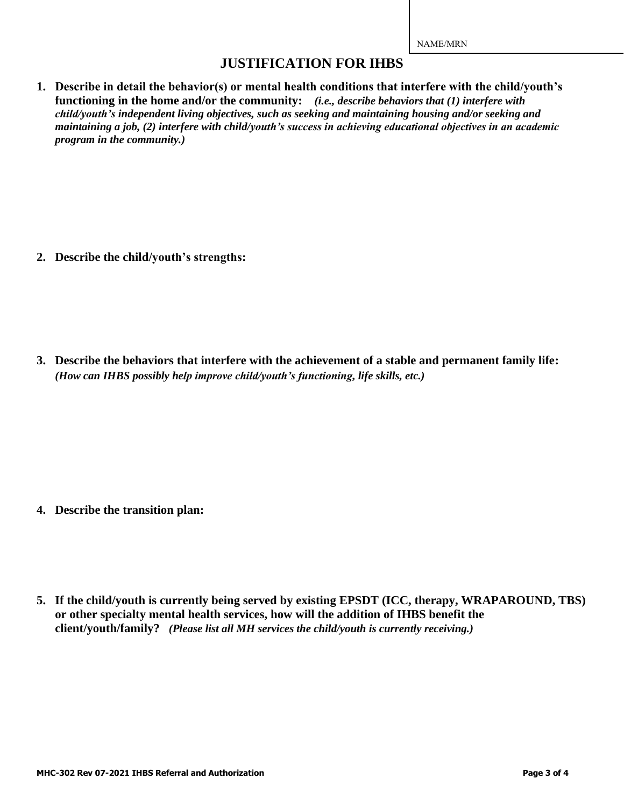NAME/MRN

## **JUSTIFICATION FOR IHBS**

**1. Describe in detail the behavior(s) or mental health conditions that interfere with the child/youth's functioning in the home and/or the community:** *(i.e., describe behaviors that (1) interfere with child/youth's independent living objectives, such as seeking and maintaining housing and/or seeking and maintaining a job, (2) interfere with child/youth's success in achieving educational objectives in an academic program in the community.)*

**2. Describe the child/youth's strengths:**

**3. Describe the behaviors that interfere with the achievement of a stable and permanent family life:** *(How can IHBS possibly help improve child/youth's functioning, life skills, etc.)*

- **4. Describe the transition plan:**
- **5. If the child/youth is currently being served by existing EPSDT (ICC, therapy, WRAPAROUND, TBS) or other specialty mental health services, how will the addition of IHBS benefit the client/youth/family?** *(Please list all MH services the child/youth is currently receiving.)*